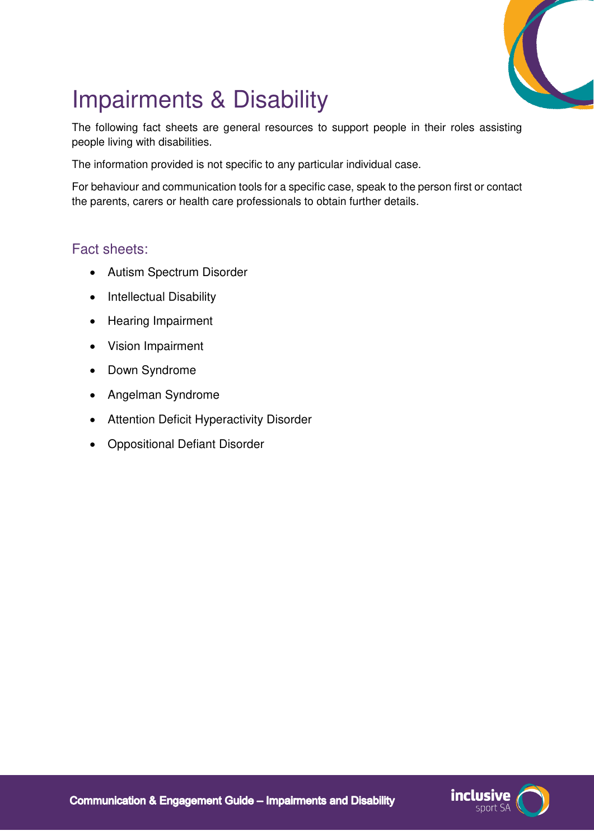

# Impairments & Disability

The following fact sheets are general resources to support people in their roles assisting people living with disabilities.

The information provided is not specific to any particular individual case.

For behaviour and communication tools for a specific case, speak to the person first or contact the parents, carers or health care professionals to obtain further details.

#### Fact sheets:

- Autism Spectrum Disorder
- Intellectual Disability
- Hearing Impairment
- Vision Impairment
- Down Syndrome
- Angelman Syndrome
- Attention Deficit Hyperactivity Disorder
- Oppositional Defiant Disorder

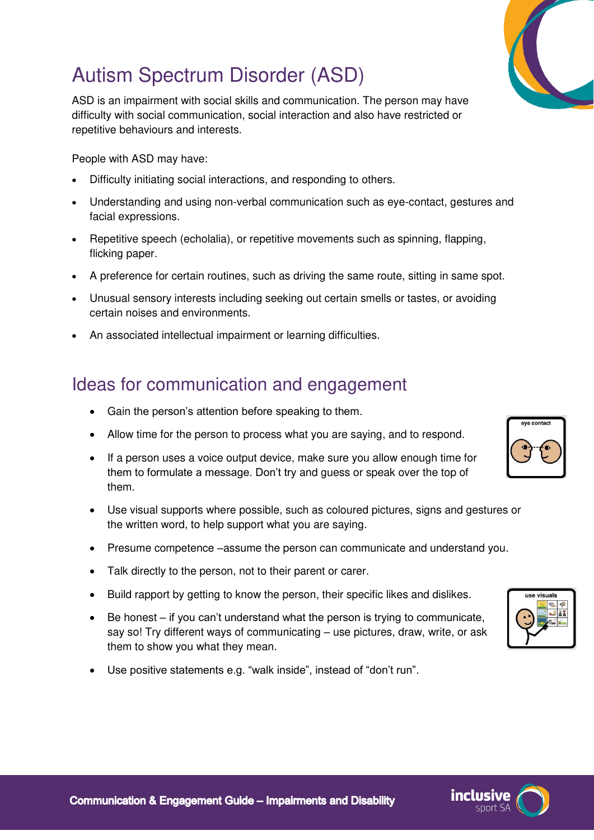### Autism Spectrum Disorder (ASD)

ASD is an impairment with social skills and communication. The person may have difficulty with social communication, social interaction and also have restricted or repetitive behaviours and interests.

People with ASD may have:

- Difficulty initiating social interactions, and responding to others.
- Understanding and using non-verbal communication such as eye-contact, gestures and facial expressions.
- Repetitive speech (echolalia), or repetitive movements such as spinning, flapping, flicking paper.
- A preference for certain routines, such as driving the same route, sitting in same spot.
- Unusual sensory interests including seeking out certain smells or tastes, or avoiding certain noises and environments.
- An associated intellectual impairment or learning difficulties.

#### Ideas for communication and engagement

- Gain the person's attention before speaking to them.
- Allow time for the person to process what you are saying, and to respond.
- If a person uses a voice output device, make sure you allow enough time for them to formulate a message. Don't try and guess or speak over the top of them.
- Use visual supports where possible, such as coloured pictures, signs and gestures or the written word, to help support what you are saying.
- Presume competence –assume the person can communicate and understand you.
- Talk directly to the person, not to their parent or carer.
- Build rapport by getting to know the person, their specific likes and dislikes.
- $\bullet$  Be honest if you can't understand what the person is trying to communicate, say so! Try different ways of communicating – use pictures, draw, write, or ask them to show you what they mean.
- Use positive statements e.g. "walk inside", instead of "don't run".







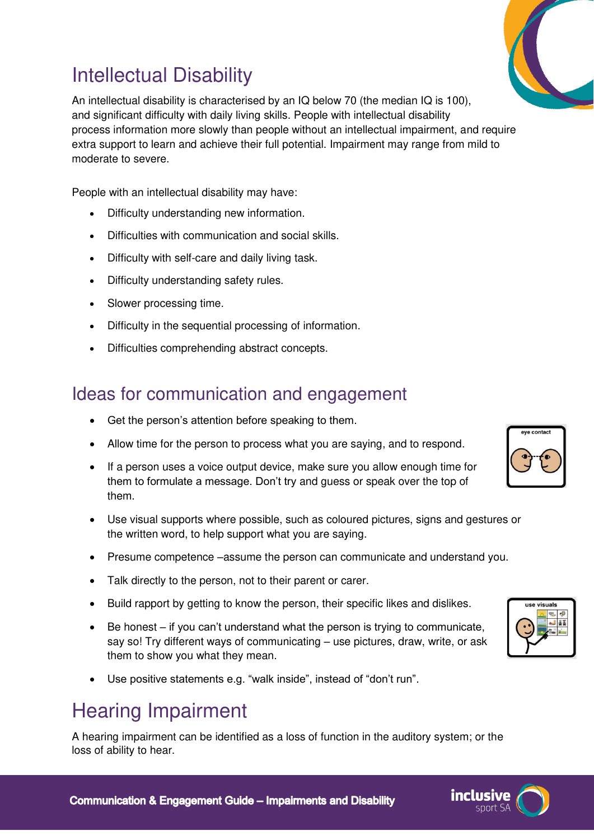### Intellectual Disability

An intellectual disability is characterised by an IQ below 70 (the median IQ is 100), and significant difficulty with daily living skills. People with intellectual disability process information more slowly than people without an intellectual impairment, and require extra support to learn and achieve their full potential. Impairment may range from mild to moderate to severe.

People with an intellectual disability may have:

- Difficulty understanding new information.
- Difficulties with communication and social skills.
- Difficulty with self-care and daily living task.
- Difficulty understanding safety rules.
- Slower processing time.
- Difficulty in the sequential processing of information.
- Difficulties comprehending abstract concepts.

#### Ideas for communication and engagement

- Get the person's attention before speaking to them.
- Allow time for the person to process what you are saying, and to respond.
- If a person uses a voice output device, make sure you allow enough time for them to formulate a message. Don't try and guess or speak over the top of them.
- Use visual supports where possible, such as coloured pictures, signs and gestures or the written word, to help support what you are saying.
- Presume competence –assume the person can communicate and understand you.
- Talk directly to the person, not to their parent or carer.
- Build rapport by getting to know the person, their specific likes and dislikes.
- Be honest if you can't understand what the person is trying to communicate, say so! Try different ways of communicating – use pictures, draw, write, or ask them to show you what they mean.
- Use positive statements e.g. "walk inside", instead of "don't run".

### Hearing Impairment

A hearing impairment can be identified as a loss of function in the auditory system; or the loss of ability to hear.





inclusive

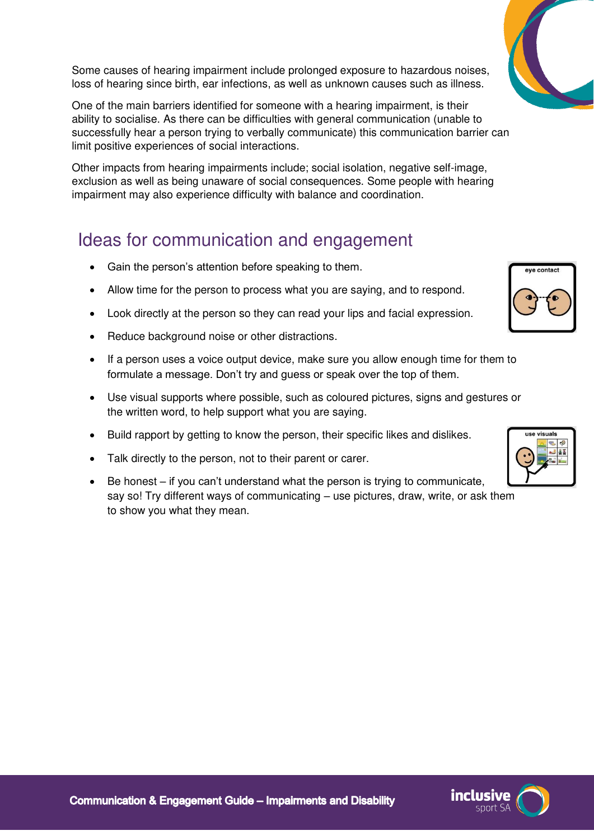Some causes of hearing impairment include prolonged exposure to hazardous noises, loss of hearing since birth, ear infections, as well as unknown causes such as illness.

One of the main barriers identified for someone with a hearing impairment, is their ability to socialise. As there can be difficulties with general communication (unable to successfully hear a person trying to verbally communicate) this communication barrier can limit positive experiences of social interactions.

Other impacts from hearing impairments include; social isolation, negative self-image, exclusion as well as being unaware of social consequences. Some people with hearing impairment may also experience difficulty with balance and coordination.

#### Ideas for communication and engagement

- Gain the person's attention before speaking to them.
- Allow time for the person to process what you are saying, and to respond.
- Look directly at the person so they can read your lips and facial expression.
- Reduce background noise or other distractions.
- If a person uses a voice output device, make sure you allow enough time for them to formulate a message. Don't try and guess or speak over the top of them.
- Use visual supports where possible, such as coloured pictures, signs and gestures or the written word, to help support what you are saying.
- Build rapport by getting to know the person, their specific likes and dislikes.
- Talk directly to the person, not to their parent or carer.
- $\bullet$  Be honest if you can't understand what the person is trying to communicate, say so! Try different ways of communicating – use pictures, draw, write, or ask them to show you what they mean.

eve contact







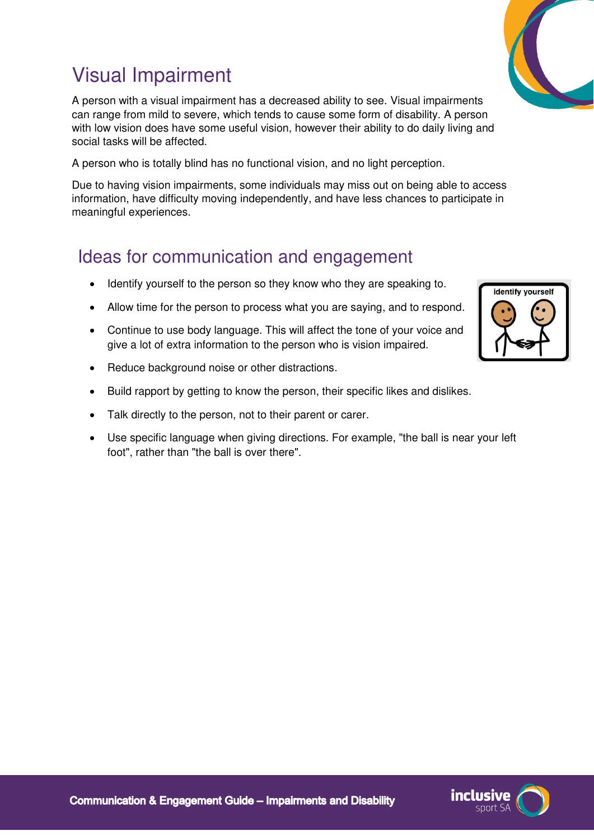## Visual Impairment

A person with a visual impairment has a decreased ability to see. Visual impairments can range from mild to severe, which tends to cause some form of disability. A person with low vision does have some useful vision, however their ability to do daily living and social tasks will be affected.

A person who is totally blind has no functional vision, and no light perception.

Due to having vision impairments, some individuals may miss out on being able to access information, have difficulty moving independently, and have less chances to participate in meaningful experiences.

#### Ideas for communication and engagement

- Identify yourself to the person so they know who they are speaking to.
- Allow time for the person to process what you are saying, and to respond.
- Continue to use body language. This will affect the tone of your voice and give a lot of extra information to the person who is vision impaired.
- Reduce background noise or other distractions.
- Build rapport by getting to know the person, their specific likes and dislikes.
- Talk directly to the person, not to their parent or carer.
- Use specific language when giving directions. For example, "the ball is near your left foot", rather than "the ball is over there".





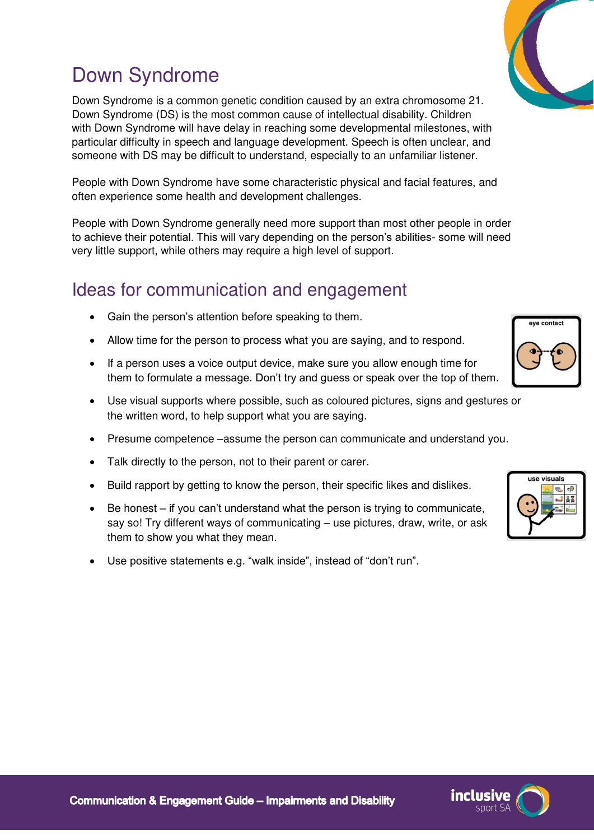## Down Syndrome

Down Syndrome is a common genetic condition caused by an extra chromosome 21. Down Syndrome (DS) is the most common cause of intellectual disability. Children with Down Syndrome will have delay in reaching some developmental milestones, with particular difficulty in speech and language development. Speech is often unclear, and someone with DS may be difficult to understand, especially to an unfamiliar listener.

People with Down Syndrome have some characteristic physical and facial features, and often experience some health and development challenges.

People with Down Syndrome generally need more support than most other people in order to achieve their potential. This will vary depending on the person's abilities- some will need very little support, while others may require a high level of support.

#### Ideas for communication and engagement

- Gain the person's attention before speaking to them.
- Allow time for the person to process what you are saying, and to respond.
- If a person uses a voice output device, make sure you allow enough time for them to formulate a message. Don't try and guess or speak over the top of them.
- Use visual supports where possible, such as coloured pictures, signs and gestures or the written word, to help support what you are saying.
- Presume competence –assume the person can communicate and understand you.
- Talk directly to the person, not to their parent or carer.
- Build rapport by getting to know the person, their specific likes and dislikes.
- Be honest if you can't understand what the person is trying to communicate, say so! Try different ways of communicating – use pictures, draw, write, or ask them to show you what they mean.
- Use positive statements e.g. "walk inside", instead of "don't run".



eve contact



inclusive

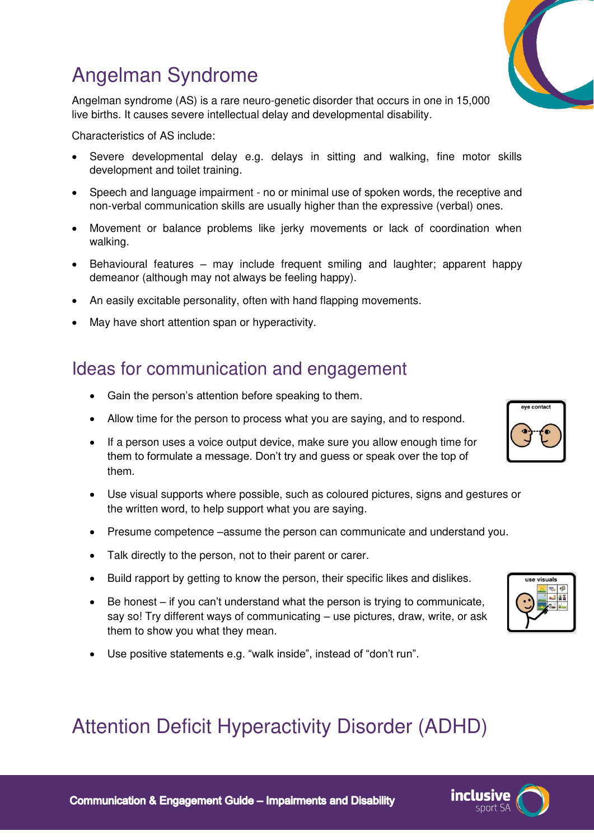### Angelman Syndrome

Angelman syndrome (AS) is a rare neuro-genetic disorder that occurs in one in 15,000 live births. It causes severe intellectual delay and developmental disability.

Characteristics of AS include:

- Severe developmental delay e.g. delays in sitting and walking, fine motor skills development and toilet training.
- Speech and language impairment no or minimal use of spoken words, the receptive and non-verbal communication skills are usually higher than the expressive (verbal) ones.
- Movement or balance problems like jerky movements or lack of coordination when walking.
- Behavioural features may include frequent smiling and laughter; apparent happy demeanor (although may not always be feeling happy).
- An easily excitable personality, often with hand flapping movements.
- May have short attention span or hyperactivity.

#### Ideas for communication and engagement

- Gain the person's attention before speaking to them.
- Allow time for the person to process what you are saying, and to respond.
- If a person uses a voice output device, make sure you allow enough time for them to formulate a message. Don't try and guess or speak over the top of them.
- Use visual supports where possible, such as coloured pictures, signs and gestures or the written word, to help support what you are saying.
- Presume competence –assume the person can communicate and understand you.
- Talk directly to the person, not to their parent or carer.
- Build rapport by getting to know the person, their specific likes and dislikes.
- Be honest if you can't understand what the person is trying to communicate, say so! Try different ways of communicating – use pictures, draw, write, or ask them to show you what they mean.
- Use positive statements e.g. "walk inside", instead of "don't run".

### Attention Deficit Hyperactivity Disorder (ADHD)





**inclusive** 

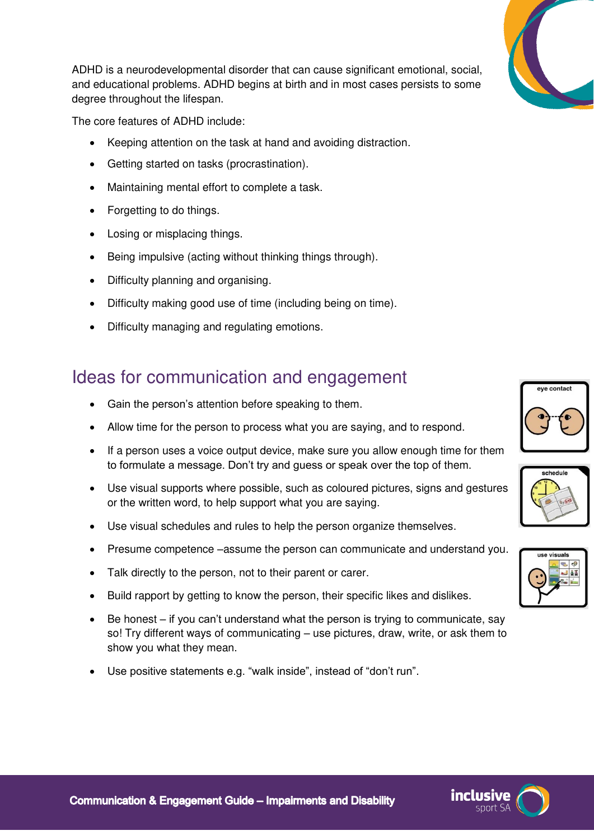

ADHD is a neurodevelopmental disorder that can cause significant emotional, social, and educational problems. ADHD begins at birth and in most cases persists to some degree throughout the lifespan.

The core features of ADHD include:

- Keeping attention on the task at hand and avoiding distraction.
- Getting started on tasks (procrastination).
- Maintaining mental effort to complete a task.
- Forgetting to do things.
- Losing or misplacing things.
- Being impulsive (acting without thinking things through).
- Difficulty planning and organising.
- Difficulty making good use of time (including being on time).
- Difficulty managing and regulating emotions.

#### Ideas for communication and engagement

- Gain the person's attention before speaking to them.
- Allow time for the person to process what you are saying, and to respond.
- If a person uses a voice output device, make sure you allow enough time for them to formulate a message. Don't try and guess or speak over the top of them.
- Use visual supports where possible, such as coloured pictures, signs and gestures or the written word, to help support what you are saying.
- Use visual schedules and rules to help the person organize themselves.
- Presume competence –assume the person can communicate and understand you.
- Talk directly to the person, not to their parent or carer.
- Build rapport by getting to know the person, their specific likes and dislikes.
- Be honest if you can't understand what the person is trying to communicate, say so! Try different ways of communicating – use pictures, draw, write, or ask them to show you what they mean.
- Use positive statements e.g. "walk inside", instead of "don't run".